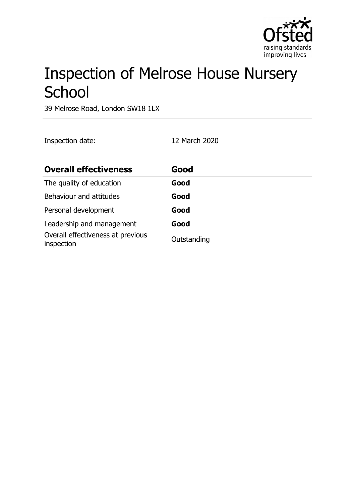

# Inspection of Melrose House Nursery **School**

39 Melrose Road, London SW18 1LX

Inspection date: 12 March 2020

| <b>Overall effectiveness</b>                    | Good        |
|-------------------------------------------------|-------------|
| The quality of education                        | Good        |
| Behaviour and attitudes                         | Good        |
| Personal development                            | Good        |
| Leadership and management                       | Good        |
| Overall effectiveness at previous<br>inspection | Outstanding |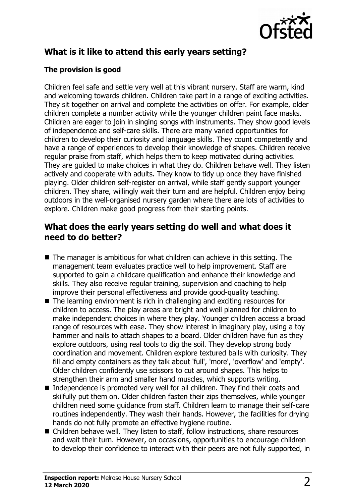

# **What is it like to attend this early years setting?**

#### **The provision is good**

Children feel safe and settle very well at this vibrant nursery. Staff are warm, kind and welcoming towards children. Children take part in a range of exciting activities. They sit together on arrival and complete the activities on offer. For example, older children complete a number activity while the younger children paint face masks. Children are eager to join in singing songs with instruments. They show good levels of independence and self-care skills. There are many varied opportunities for children to develop their curiosity and language skills. They count competently and have a range of experiences to develop their knowledge of shapes. Children receive regular praise from staff, which helps them to keep motivated during activities. They are guided to make choices in what they do. Children behave well. They listen actively and cooperate with adults. They know to tidy up once they have finished playing. Older children self-register on arrival, while staff gently support younger children. They share, willingly wait their turn and are helpful. Children enjoy being outdoors in the well-organised nursery garden where there are lots of activities to explore. Children make good progress from their starting points.

#### **What does the early years setting do well and what does it need to do better?**

- $\blacksquare$  The manager is ambitious for what children can achieve in this setting. The management team evaluates practice well to help improvement. Staff are supported to gain a childcare qualification and enhance their knowledge and skills. They also receive regular training, supervision and coaching to help improve their personal effectiveness and provide good-quality teaching.
- $\blacksquare$  The learning environment is rich in challenging and exciting resources for children to access. The play areas are bright and well planned for children to make independent choices in where they play. Younger children access a broad range of resources with ease. They show interest in imaginary play, using a toy hammer and nails to attach shapes to a board. Older children have fun as they explore outdoors, using real tools to dig the soil. They develop strong body coordination and movement. Children explore textured balls with curiosity. They fill and empty containers as they talk about 'full', 'more', 'overflow' and 'empty'. Older children confidently use scissors to cut around shapes. This helps to strengthen their arm and smaller hand muscles, which supports writing.
- $\blacksquare$  Independence is promoted very well for all children. They find their coats and skilfully put them on. Older children fasten their zips themselves, while younger children need some guidance from staff. Children learn to manage their self-care routines independently. They wash their hands. However, the facilities for drying hands do not fully promote an effective hygiene routine.
- $\blacksquare$  Children behave well. They listen to staff, follow instructions, share resources and wait their turn. However, on occasions, opportunities to encourage children to develop their confidence to interact with their peers are not fully supported, in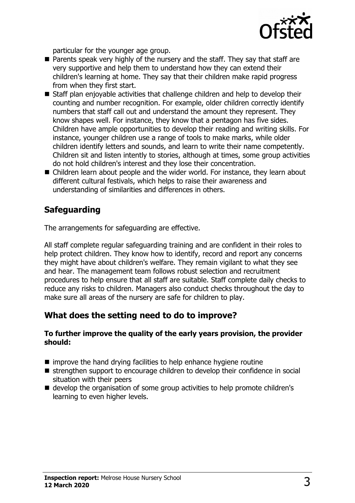

particular for the younger age group.

- $\blacksquare$  Parents speak very highly of the nursery and the staff. They say that staff are very supportive and help them to understand how they can extend their children's learning at home. They say that their children make rapid progress from when they first start.
- Staff plan enjoyable activities that challenge children and help to develop their counting and number recognition. For example, older children correctly identify numbers that staff call out and understand the amount they represent. They know shapes well. For instance, they know that a pentagon has five sides. Children have ample opportunities to develop their reading and writing skills. For instance, younger children use a range of tools to make marks, while older children identify letters and sounds, and learn to write their name competently. Children sit and listen intently to stories, although at times, some group activities do not hold children's interest and they lose their concentration.
- $\blacksquare$  Children learn about people and the wider world. For instance, they learn about different cultural festivals, which helps to raise their awareness and understanding of similarities and differences in others.

## **Safeguarding**

The arrangements for safeguarding are effective.

All staff complete regular safeguarding training and are confident in their roles to help protect children. They know how to identify, record and report any concerns they might have about children's welfare. They remain vigilant to what they see and hear. The management team follows robust selection and recruitment procedures to help ensure that all staff are suitable. Staff complete daily checks to reduce any risks to children. Managers also conduct checks throughout the day to make sure all areas of the nursery are safe for children to play.

### **What does the setting need to do to improve?**

#### **To further improve the quality of the early years provision, the provider should:**

- $\blacksquare$  improve the hand drying facilities to help enhance hygiene routine
- $\blacksquare$  strengthen support to encourage children to develop their confidence in social situation with their peers
- develop the organisation of some group activities to help promote children's learning to even higher levels.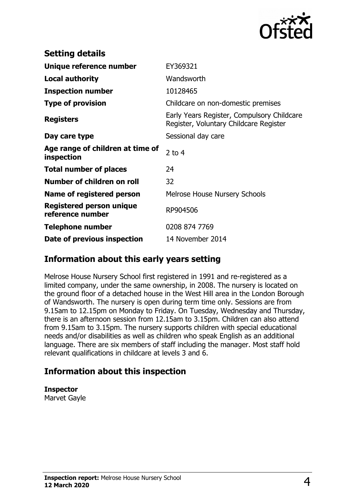

| <b>Setting details</b>                         |                                                                                      |
|------------------------------------------------|--------------------------------------------------------------------------------------|
| Unique reference number                        | EY369321                                                                             |
| Local authority                                | Wandsworth                                                                           |
| <b>Inspection number</b>                       | 10128465                                                                             |
| <b>Type of provision</b>                       | Childcare on non-domestic premises                                                   |
| <b>Registers</b>                               | Early Years Register, Compulsory Childcare<br>Register, Voluntary Childcare Register |
| Day care type                                  | Sessional day care                                                                   |
| Age range of children at time of<br>inspection | 2 to $4$                                                                             |
| <b>Total number of places</b>                  | 24                                                                                   |
| Number of children on roll                     | 32                                                                                   |
| Name of registered person                      | <b>Melrose House Nursery Schools</b>                                                 |
| Registered person unique<br>reference number   | RP904506                                                                             |
| <b>Telephone number</b>                        | 0208 874 7769                                                                        |
| Date of previous inspection                    | 14 November 2014                                                                     |

### **Information about this early years setting**

Melrose House Nursery School first registered in 1991 and re-registered as a limited company, under the same ownership, in 2008. The nursery is located on the ground floor of a detached house in the West Hill area in the London Borough of Wandsworth. The nursery is open during term time only. Sessions are from 9.15am to 12.15pm on Monday to Friday. On Tuesday, Wednesday and Thursday, there is an afternoon session from 12.15am to 3.15pm. Children can also attend from 9.15am to 3.15pm. The nursery supports children with special educational needs and/or disabilities as well as children who speak English as an additional language. There are six members of staff including the manager. Most staff hold relevant qualifications in childcare at levels 3 and 6.

### **Information about this inspection**

**Inspector**

Marvet Gayle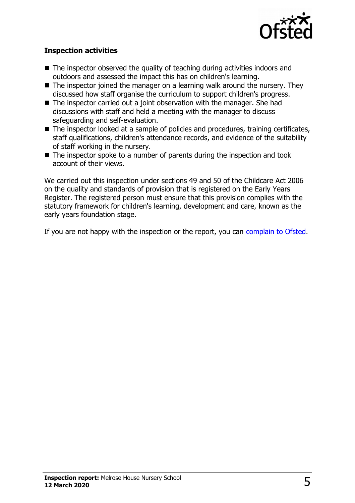

#### **Inspection activities**

- $\blacksquare$  The inspector observed the quality of teaching during activities indoors and outdoors and assessed the impact this has on children's learning.
- $\blacksquare$  The inspector joined the manager on a learning walk around the nursery. They discussed how staff organise the curriculum to support children's progress.
- $\blacksquare$  The inspector carried out a joint observation with the manager. She had discussions with staff and held a meeting with the manager to discuss safeguarding and self-evaluation.
- The inspector looked at a sample of policies and procedures, training certificates, staff qualifications, children's attendance records, and evidence of the suitability of staff working in the nursery.
- $\blacksquare$  The inspector spoke to a number of parents during the inspection and took account of their views.

We carried out this inspection under sections 49 and 50 of the Childcare Act 2006 on the quality and standards of provision that is registered on the Early Years Register. The registered person must ensure that this provision complies with the statutory framework for children's learning, development and care, known as the early years foundation stage.

If you are not happy with the inspection or the report, you can [complain to Ofsted.](http://www.gov.uk/complain-ofsted-report)